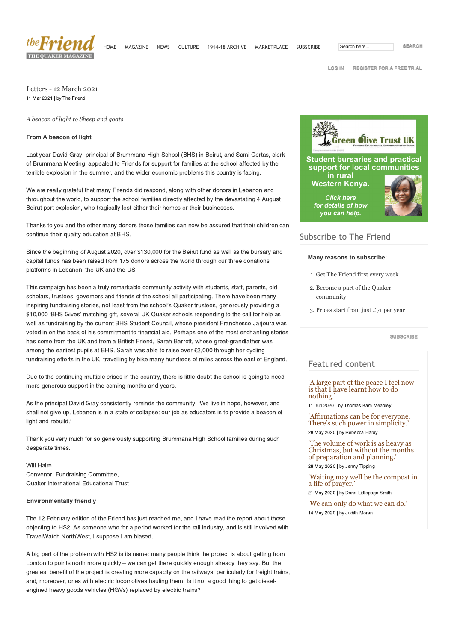

**[LOG IN](https://thefriend.org/profile) [REGISTER FOR A FREE TRIAL](https://thefriend.org/subscribe)**

Letters - 12 March 2021 11 Mar 2021 | by The Friend

*A beacon of light to Sheep and goats*

## **From A beacon of light**

Last year David Gray, principal of Brummana High School (BHS) in Beirut, and Sami Cortas, clerk of Brummana Meeting, appealed to Friends for support for families at the school affected by the terrible explosion in the summer, and the wider economic problems this country is facing.

We are really grateful that many Friends did respond, along with other donors in Lebanon and throughout the world, to support the school families directly affected by the devastating 4 August Beirut port explosion, who tragically lost either their homes or their businesses.

Thanks to you and the other many donors those families can now be assured that their children can continue their quality education at BHS.

Since the beginning of August 2020, over \$130,000 for the Beirut fund as well as the bursary and capital funds has been raised from 175 donors across the world through our three donations platforms in Lebanon, the UK and the US.

This campaign has been a truly remarkable community activity with students, staff, parents, old scholars, trustees, governors and friends of the school all participating. There have been many inspiring fundraising stories, not least from the school's Quaker trustees, generously providing a \$10,000 'BHS Gives' matching gift, several UK Quaker schools responding to the call for help as well as fundraising by the current BHS Student Council, whose president Franchesco Jarjoura was voted in on the back of his commitment to financial aid. Perhaps one of the most enchanting stories has come from the UK and from a British Friend, Sarah Barrett, whose great-grandfather was among the earliest pupils at BHS. Sarah was able to raise over £2,000 through her cycling fundraising efforts in the UK, travelling by bike many hundreds of miles across the east of England.

Due to the continuing multiple crises in the country, there is little doubt the school is going to need more generous support in the coming months and years.

As the principal David Gray consistently reminds the community: 'We live in hope, however, and shall not give up. Lebanon is in a state of collapse: our job as educators is to provide a beacon of light and rebuild.'

Thank you very much for so generously supporting Brummana High School families during such desperate times.

Will Haire Convenor, Fundraising Committee, Quaker International Educational Trust

#### **Environmentally friendly**

The 12 February edition of the Friend has just reached me, and I have read the report about those objecting to HS2. As someone who for a period worked for the rail industry, and is still involved with TravelWatch NorthWest, I suppose I am biased.

A big part of the problem with HS2 is its name: many people think the project is about getting from London to points north more quickly – we can get there quickly enough already they say. But the greatest benefit of the project is creating more capacity on the railways, particularly for freight trains, and, moreover, ones with electric locomotives hauling them. Is it not a good thing to get dieselengined heavy goods vehicles (HGVs) replaced by electric trains?



# Subscribe to The Friend

#### **Many reasons to subscribe:**

- 1. Get The Friend first every week
- 2. Become a part of the Quaker community
- 3. Prices start from just £71 per year

**[SUBSCRIBE](https://thefriend.org/subscribe)**

## Featured content

['A large part of the peace I feel now](https://thefriend.org/article/a-large-part-of-the-peace-i-feel-now-is-that-i-have-learnt-how-to-do-nothin) is that I have learnt how to do nothing.'

11 Jun 2020 | by Thomas Kam Meadley

['Affirmations can be for everyone.](https://thefriend.org/article/affirmations-can-be-for-everyone.-theres-such-power-in-simplicity) There's such power in simplicity.' 28 May 2020 | by Rebecca Hardy

'The volume of work is as heavy as [Christmas, but without the months](https://thefriend.org/article/the-volume-of-work-is-as-heavy-as-christmas-but-without-the-months-of-prepa) of preparation and planning.' 28 May 2020 | by Jenny Tipping

['Waiting may well be the compost in](https://thefriend.org/article/waiting-may-well-be-the-compost-in-a-life-of-prayer) a life of prayer.'

21 May 2020 | by Dana Littlepage Smith

['We can only do what we can do.'](https://thefriend.org/article/we-can-only-do-what-we-can-do) 14 May 2020 | by Judith Moran